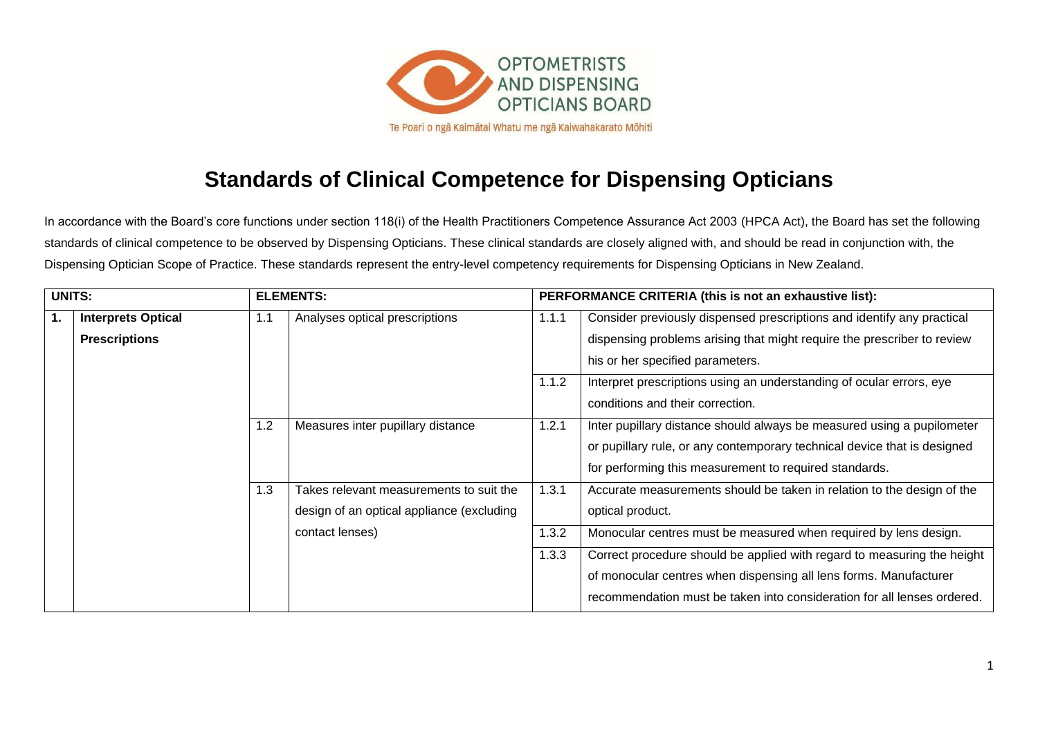

## **Standards of Clinical Competence for Dispensing Opticians**

In accordance with the Board's core functions under section 118(i) of the Health Practitioners Competence Assurance Act 2003 (HPCA Act), the Board has set the following standards of clinical competence to be observed by Dispensing Opticians. These clinical standards are closely aligned with, and should be read in conjunction with, the Dispensing Optician Scope of Practice. These standards represent the entry-level competency requirements for Dispensing Opticians in New Zealand.

| <b>UNITS:</b> |                           | <b>ELEMENTS:</b> |                                           | PERFORMANCE CRITERIA (this is not an exhaustive list): |                                                                          |
|---------------|---------------------------|------------------|-------------------------------------------|--------------------------------------------------------|--------------------------------------------------------------------------|
| $\mathbf{1}$  | <b>Interprets Optical</b> | 1.1              | Analyses optical prescriptions            | 1.1.1                                                  | Consider previously dispensed prescriptions and identify any practical   |
|               | <b>Prescriptions</b>      |                  |                                           |                                                        | dispensing problems arising that might require the prescriber to review  |
|               |                           |                  |                                           |                                                        | his or her specified parameters.                                         |
|               |                           |                  |                                           | 1.1.2                                                  | Interpret prescriptions using an understanding of ocular errors, eye     |
|               |                           |                  |                                           |                                                        | conditions and their correction.                                         |
|               |                           | 1.2              | Measures inter pupillary distance         | 1.2.1                                                  | Inter pupillary distance should always be measured using a pupilometer   |
|               |                           |                  |                                           |                                                        | or pupillary rule, or any contemporary technical device that is designed |
|               |                           |                  |                                           |                                                        | for performing this measurement to required standards.                   |
|               |                           | 1.3              | Takes relevant measurements to suit the   | 1.3.1                                                  | Accurate measurements should be taken in relation to the design of the   |
|               |                           |                  | design of an optical appliance (excluding |                                                        | optical product.                                                         |
|               |                           |                  | contact lenses)                           | 1.3.2                                                  | Monocular centres must be measured when required by lens design.         |
|               |                           |                  |                                           | 1.3.3                                                  | Correct procedure should be applied with regard to measuring the height  |
|               |                           |                  |                                           |                                                        | of monocular centres when dispensing all lens forms. Manufacturer        |
|               |                           |                  |                                           |                                                        | recommendation must be taken into consideration for all lenses ordered.  |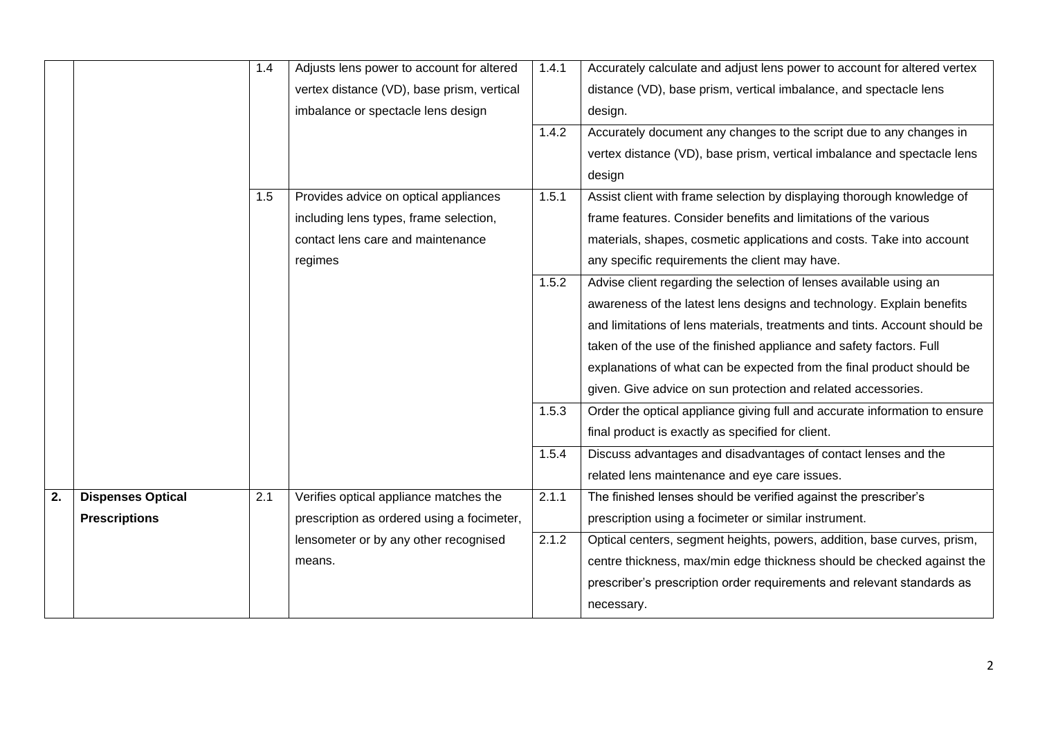|    |                          | 1.4 | Adjusts lens power to account for altered  | 1.4.1 | Accurately calculate and adjust lens power to account for altered vertex   |
|----|--------------------------|-----|--------------------------------------------|-------|----------------------------------------------------------------------------|
|    |                          |     | vertex distance (VD), base prism, vertical |       | distance (VD), base prism, vertical imbalance, and spectacle lens          |
|    |                          |     | imbalance or spectacle lens design         |       | design.                                                                    |
|    |                          |     |                                            | 1.4.2 | Accurately document any changes to the script due to any changes in        |
|    |                          |     |                                            |       | vertex distance (VD), base prism, vertical imbalance and spectacle lens    |
|    |                          |     |                                            |       | design                                                                     |
|    |                          | 1.5 | Provides advice on optical appliances      | 1.5.1 | Assist client with frame selection by displaying thorough knowledge of     |
|    |                          |     | including lens types, frame selection,     |       | frame features. Consider benefits and limitations of the various           |
|    |                          |     | contact lens care and maintenance          |       | materials, shapes, cosmetic applications and costs. Take into account      |
|    |                          |     | regimes                                    |       | any specific requirements the client may have.                             |
|    |                          |     |                                            | 1.5.2 | Advise client regarding the selection of lenses available using an         |
|    |                          |     |                                            |       | awareness of the latest lens designs and technology. Explain benefits      |
|    |                          |     |                                            |       | and limitations of lens materials, treatments and tints. Account should be |
|    |                          |     |                                            |       | taken of the use of the finished appliance and safety factors. Full        |
|    |                          |     |                                            |       | explanations of what can be expected from the final product should be      |
|    |                          |     |                                            |       | given. Give advice on sun protection and related accessories.              |
|    |                          |     |                                            | 1.5.3 | Order the optical appliance giving full and accurate information to ensure |
|    |                          |     |                                            |       | final product is exactly as specified for client.                          |
|    |                          |     |                                            | 1.5.4 | Discuss advantages and disadvantages of contact lenses and the             |
|    |                          |     |                                            |       | related lens maintenance and eye care issues.                              |
| 2. | <b>Dispenses Optical</b> | 2.1 | Verifies optical appliance matches the     | 2.1.1 | The finished lenses should be verified against the prescriber's            |
|    | <b>Prescriptions</b>     |     | prescription as ordered using a focimeter, |       | prescription using a focimeter or similar instrument.                      |
|    |                          |     | lensometer or by any other recognised      | 2.1.2 | Optical centers, segment heights, powers, addition, base curves, prism,    |
|    |                          |     | means.                                     |       | centre thickness, max/min edge thickness should be checked against the     |
|    |                          |     |                                            |       | prescriber's prescription order requirements and relevant standards as     |
|    |                          |     |                                            |       | necessary.                                                                 |
|    |                          |     |                                            |       |                                                                            |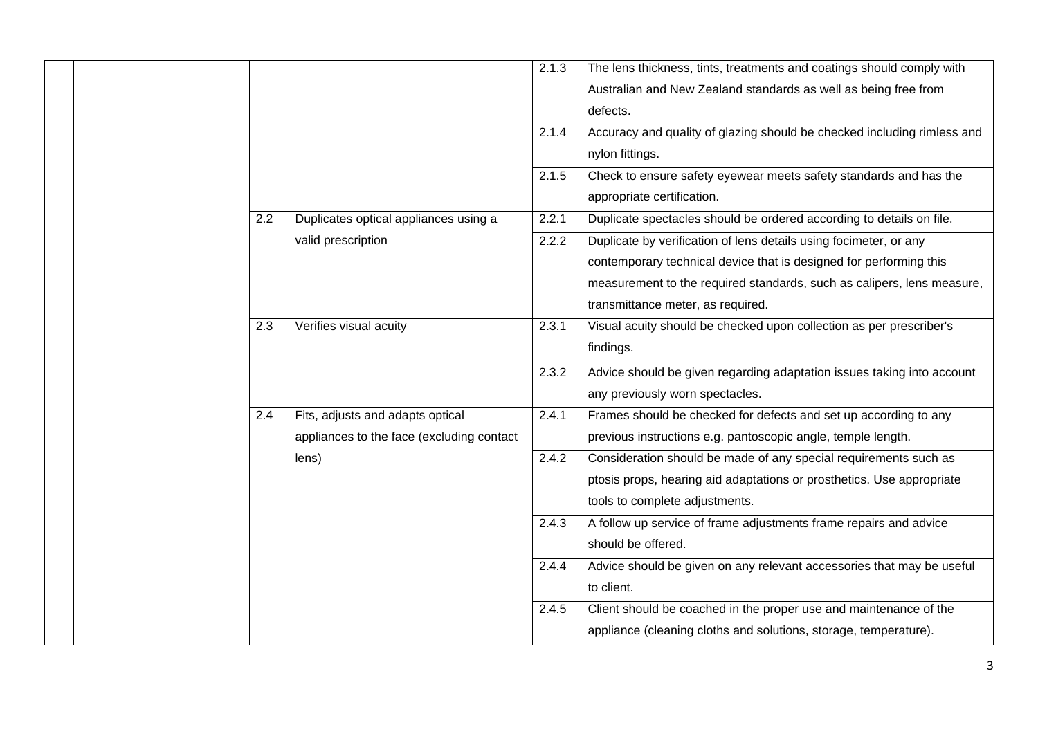|  |  |     |                                                                               | 2.1.3<br>2.1.4 | The lens thickness, tints, treatments and coatings should comply with<br>Australian and New Zealand standards as well as being free from<br>defects.<br>Accuracy and quality of glazing should be checked including rimless and<br>nylon fittings.     |
|--|--|-----|-------------------------------------------------------------------------------|----------------|--------------------------------------------------------------------------------------------------------------------------------------------------------------------------------------------------------------------------------------------------------|
|  |  |     |                                                                               | 2.1.5          | Check to ensure safety eyewear meets safety standards and has the<br>appropriate certification.                                                                                                                                                        |
|  |  | 2.2 | Duplicates optical appliances using a                                         | 2.2.1          | Duplicate spectacles should be ordered according to details on file.                                                                                                                                                                                   |
|  |  |     | valid prescription                                                            | 2.2.2          | Duplicate by verification of lens details using focimeter, or any<br>contemporary technical device that is designed for performing this<br>measurement to the required standards, such as calipers, lens measure,<br>transmittance meter, as required. |
|  |  | 2.3 | Verifies visual acuity                                                        | 2.3.1          | Visual acuity should be checked upon collection as per prescriber's<br>findings.                                                                                                                                                                       |
|  |  |     |                                                                               | 2.3.2          | Advice should be given regarding adaptation issues taking into account<br>any previously worn spectacles.                                                                                                                                              |
|  |  | 2.4 | Fits, adjusts and adapts optical<br>appliances to the face (excluding contact | 2.4.1          | Frames should be checked for defects and set up according to any<br>previous instructions e.g. pantoscopic angle, temple length.                                                                                                                       |
|  |  |     | lens)                                                                         | 2.4.2          | Consideration should be made of any special requirements such as<br>ptosis props, hearing aid adaptations or prosthetics. Use appropriate<br>tools to complete adjustments.                                                                            |
|  |  |     |                                                                               | 2.4.3          | A follow up service of frame adjustments frame repairs and advice<br>should be offered.                                                                                                                                                                |
|  |  |     |                                                                               | 2.4.4          | Advice should be given on any relevant accessories that may be useful<br>to client.                                                                                                                                                                    |
|  |  |     |                                                                               | 2.4.5          | Client should be coached in the proper use and maintenance of the<br>appliance (cleaning cloths and solutions, storage, temperature).                                                                                                                  |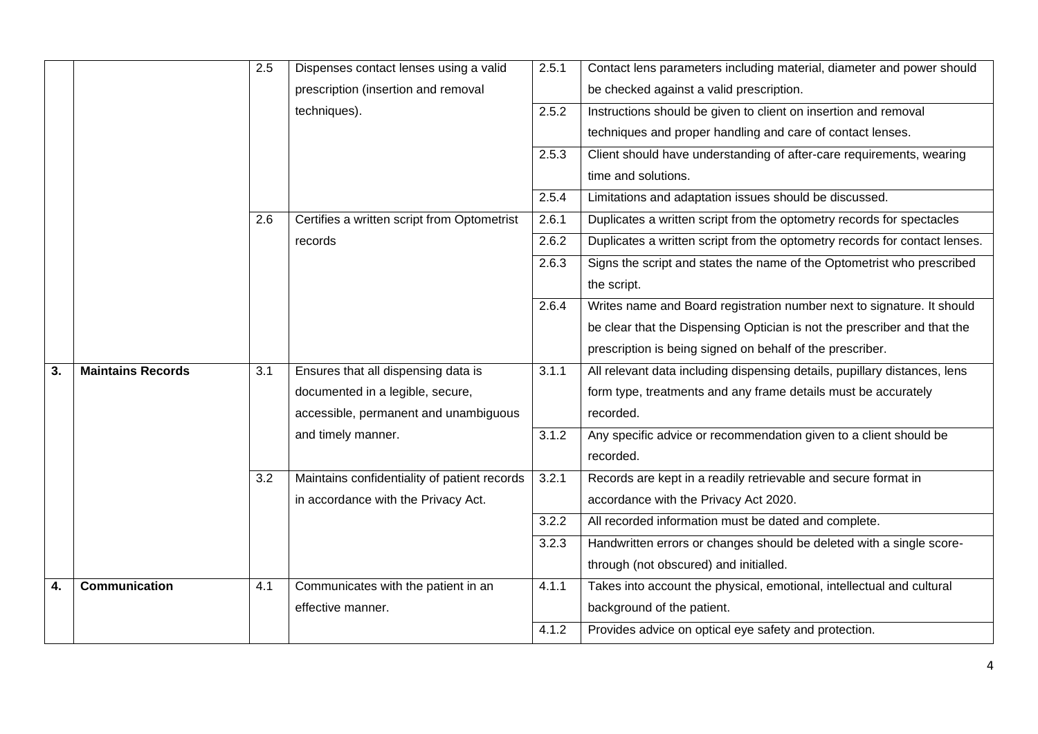|    |                          | 2.5 | Dispenses contact lenses using a valid       | 2.5.1 | Contact lens parameters including material, diameter and power should      |
|----|--------------------------|-----|----------------------------------------------|-------|----------------------------------------------------------------------------|
|    |                          |     | prescription (insertion and removal          |       | be checked against a valid prescription.                                   |
|    |                          |     | techniques).                                 | 2.5.2 | Instructions should be given to client on insertion and removal            |
|    |                          |     |                                              |       | techniques and proper handling and care of contact lenses.                 |
|    |                          |     |                                              | 2.5.3 | Client should have understanding of after-care requirements, wearing       |
|    |                          |     |                                              |       | time and solutions.                                                        |
|    |                          |     |                                              | 2.5.4 | Limitations and adaptation issues should be discussed.                     |
|    |                          | 2.6 | Certifies a written script from Optometrist  | 2.6.1 | Duplicates a written script from the optometry records for spectacles      |
|    |                          |     | records                                      | 2.6.2 | Duplicates a written script from the optometry records for contact lenses. |
|    |                          |     |                                              | 2.6.3 | Signs the script and states the name of the Optometrist who prescribed     |
|    |                          |     |                                              |       | the script.                                                                |
|    |                          |     |                                              | 2.6.4 | Writes name and Board registration number next to signature. It should     |
|    |                          |     |                                              |       | be clear that the Dispensing Optician is not the prescriber and that the   |
|    |                          |     |                                              |       | prescription is being signed on behalf of the prescriber.                  |
| 3. | <b>Maintains Records</b> | 3.1 | Ensures that all dispensing data is          | 3.1.1 | All relevant data including dispensing details, pupillary distances, lens  |
|    |                          |     | documented in a legible, secure,             |       | form type, treatments and any frame details must be accurately             |
|    |                          |     | accessible, permanent and unambiguous        |       | recorded.                                                                  |
|    |                          |     | and timely manner.                           | 3.1.2 | Any specific advice or recommendation given to a client should be          |
|    |                          |     |                                              |       | recorded.                                                                  |
|    |                          | 3.2 | Maintains confidentiality of patient records | 3.2.1 | Records are kept in a readily retrievable and secure format in             |
|    |                          |     | in accordance with the Privacy Act.          |       | accordance with the Privacy Act 2020.                                      |
|    |                          |     |                                              | 3.2.2 | All recorded information must be dated and complete.                       |
|    |                          |     |                                              | 3.2.3 | Handwritten errors or changes should be deleted with a single score-       |
|    |                          |     |                                              |       | through (not obscured) and initialled.                                     |
| 4. | <b>Communication</b>     | 4.1 | Communicates with the patient in an          | 4.1.1 | Takes into account the physical, emotional, intellectual and cultural      |
|    |                          |     |                                              |       |                                                                            |
|    |                          |     | effective manner.                            |       | background of the patient.                                                 |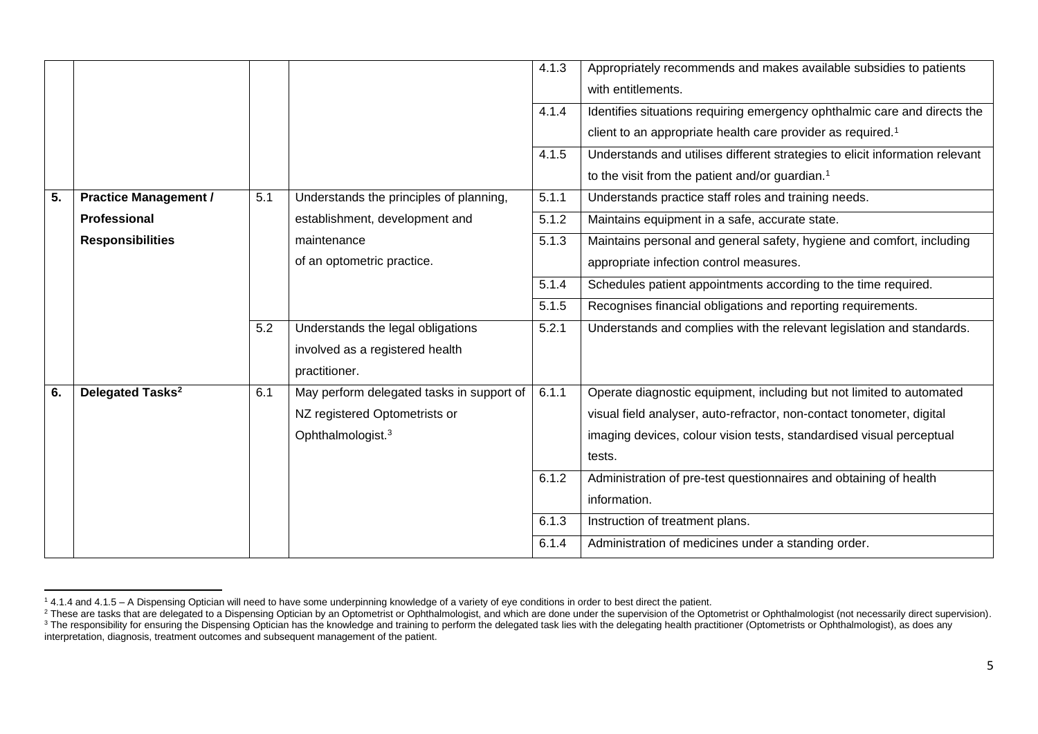|                  |                              |     |                                           | 4.1.3 | Appropriately recommends and makes available subsidies to patients           |
|------------------|------------------------------|-----|-------------------------------------------|-------|------------------------------------------------------------------------------|
|                  |                              |     |                                           |       | with entitlements.                                                           |
|                  |                              |     |                                           | 4.1.4 | Identifies situations requiring emergency ophthalmic care and directs the    |
|                  |                              |     |                                           |       | client to an appropriate health care provider as required. <sup>1</sup>      |
|                  |                              |     |                                           | 4.1.5 | Understands and utilises different strategies to elicit information relevant |
|                  |                              |     |                                           |       | to the visit from the patient and/or guardian. <sup>1</sup>                  |
| $\overline{5}$ . | <b>Practice Management /</b> | 5.1 | Understands the principles of planning,   | 5.1.1 | Understands practice staff roles and training needs.                         |
|                  | <b>Professional</b>          |     | establishment, development and            | 5.1.2 | Maintains equipment in a safe, accurate state.                               |
|                  | <b>Responsibilities</b>      |     | maintenance                               | 5.1.3 | Maintains personal and general safety, hygiene and comfort, including        |
|                  |                              |     | of an optometric practice.                |       | appropriate infection control measures.                                      |
|                  |                              |     |                                           | 5.1.4 | Schedules patient appointments according to the time required.               |
|                  |                              |     |                                           | 5.1.5 | Recognises financial obligations and reporting requirements.                 |
|                  |                              | 5.2 | Understands the legal obligations         | 5.2.1 | Understands and complies with the relevant legislation and standards.        |
|                  |                              |     | involved as a registered health           |       |                                                                              |
|                  |                              |     | practitioner.                             |       |                                                                              |
| 6.               | Delegated Tasks <sup>2</sup> | 6.1 | May perform delegated tasks in support of | 6.1.1 | Operate diagnostic equipment, including but not limited to automated         |
|                  |                              |     | NZ registered Optometrists or             |       | visual field analyser, auto-refractor, non-contact tonometer, digital        |
|                  |                              |     | Ophthalmologist. <sup>3</sup>             |       | imaging devices, colour vision tests, standardised visual perceptual         |
|                  |                              |     |                                           |       | tests.                                                                       |
|                  |                              |     |                                           | 6.1.2 | Administration of pre-test questionnaires and obtaining of health            |
|                  |                              |     |                                           |       | information.                                                                 |
|                  |                              |     |                                           | 6.1.3 | Instruction of treatment plans.                                              |
|                  |                              |     |                                           | 6.1.4 | Administration of medicines under a standing order.                          |

<sup>&</sup>lt;sup>1</sup> 4.1.4 and 4.1.5 – A Dispensing Optician will need to have some underpinning knowledge of a variety of eye conditions in order to best direct the patient.

<sup>&</sup>lt;sup>2</sup> These are tasks that are delegated to a Dispensing Optician by an Optometrist or Ophthalmologist, and which are done under the supervision of the Optometrist or Ophthalmologist (not necessarily direct supervision).  $3$  The responsibility for ensuring the Dispensing Optician has the knowledge and training to perform the delegated task lies with the delegating health practitioner (Optometrists or Ophthalmologist), as does any

interpretation, diagnosis, treatment outcomes and subsequent management of the patient.